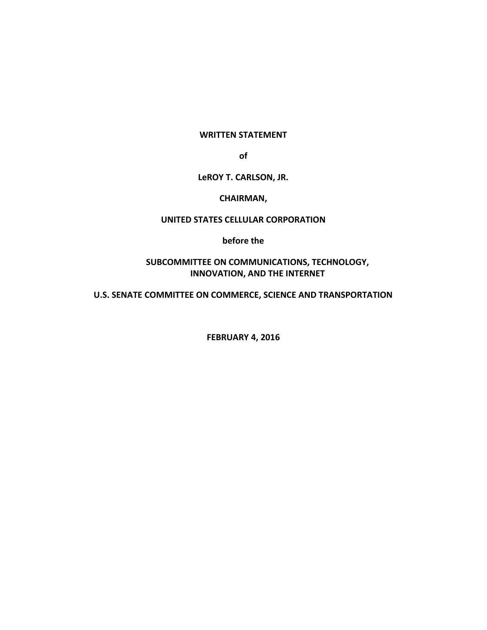#### **WRITTEN STATEMENT**

**of**

## **LeROY T. CARLSON, JR.**

#### **CHAIRMAN,**

## **UNITED STATES CELLULAR CORPORATION**

**before the**

# **SUBCOMMITTEE ON COMMUNICATIONS, TECHNOLOGY, INNOVATION, AND THE INTERNET**

**U.S. SENATE COMMITTEE ON COMMERCE, SCIENCE AND TRANSPORTATION**

**FEBRUARY 4, 2016**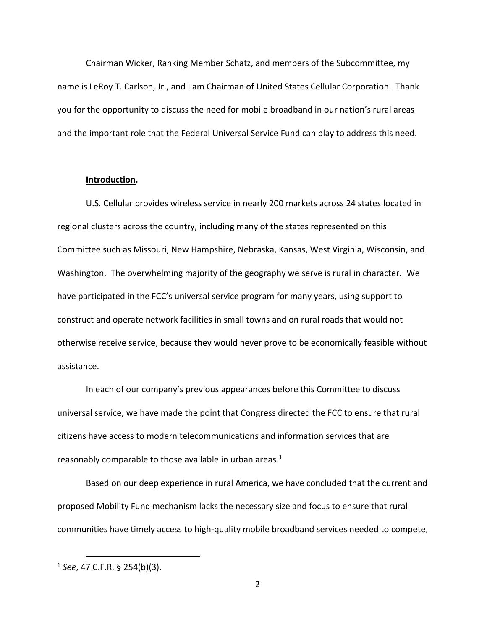Chairman Wicker, Ranking Member Schatz, and members of the Subcommittee, my name is LeRoy T. Carlson, Jr., and I am Chairman of United States Cellular Corporation. Thank you for the opportunity to discuss the need for mobile broadband in our nation's rural areas and the important role that the Federal Universal Service Fund can play to address this need.

#### **Introduction.**

U.S. Cellular provides wireless service in nearly 200 markets across 24 states located in regional clusters across the country, including many of the states represented on this Committee such as Missouri, New Hampshire, Nebraska, Kansas, West Virginia, Wisconsin, and Washington. The overwhelming majority of the geography we serve is rural in character. We have participated in the FCC's universal service program for many years, using support to construct and operate network facilities in small towns and on rural roads that would not otherwise receive service, because they would never prove to be economically feasible without assistance.

In each of our company's previous appearances before this Committee to discuss universal service, we have made the point that Congress directed the FCC to ensure that rural citizens have access to modern telecommunications and information services that are reasonably comparable to those available in urban areas.<sup>1</sup>

Based on our deep experience in rural America, we have concluded that the current and proposed Mobility Fund mechanism lacks the necessary size and focus to ensure that rural communities have timely access to high-quality mobile broadband services needed to compete,

<sup>1</sup> *See*, 47 C.F.R. § 254(b)(3).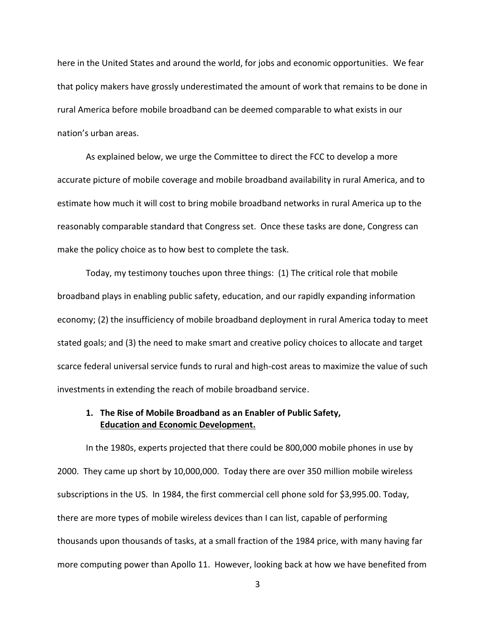here in the United States and around the world, for jobs and economic opportunities. We fear that policy makers have grossly underestimated the amount of work that remains to be done in rural America before mobile broadband can be deemed comparable to what exists in our nation's urban areas.

As explained below, we urge the Committee to direct the FCC to develop a more accurate picture of mobile coverage and mobile broadband availability in rural America, and to estimate how much it will cost to bring mobile broadband networks in rural America up to the reasonably comparable standard that Congress set. Once these tasks are done, Congress can make the policy choice as to how best to complete the task.

Today, my testimony touches upon three things: (1) The critical role that mobile broadband plays in enabling public safety, education, and our rapidly expanding information economy; (2) the insufficiency of mobile broadband deployment in rural America today to meet stated goals; and (3) the need to make smart and creative policy choices to allocate and target scarce federal universal service funds to rural and high-cost areas to maximize the value of such investments in extending the reach of mobile broadband service.

## **1. The Rise of Mobile Broadband as an Enabler of Public Safety, Education and Economic Development.**

In the 1980s, experts projected that there could be 800,000 mobile phones in use by 2000. They came up short by 10,000,000. Today there are over 350 million mobile wireless subscriptions in the US. In 1984, the first commercial cell phone sold for \$3,995.00. Today, there are more types of mobile wireless devices than I can list, capable of performing thousands upon thousands of tasks, at a small fraction of the 1984 price, with many having far more computing power than Apollo 11. However, looking back at how we have benefited from

3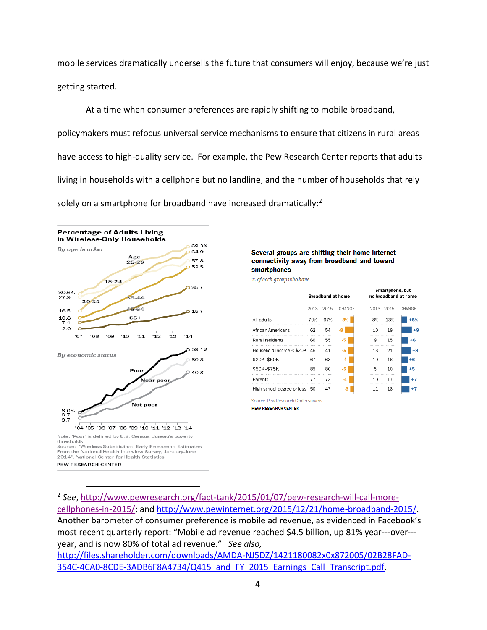mobile services dramatically undersells the future that consumers will enjoy, because we're just getting started.

At a time when consumer preferences are rapidly shifting to mobile broadband, policymakers must refocus universal service mechanisms to ensure that citizens in rural areas have access to high-quality service. For example, the Pew Research Center reports that adults living in households with a cellphone but no landline, and the number of households that rely solely on a smartphone for broadband have increased dramatically:<sup>2</sup>



 $\overline{a}$ 

Several groups are shifting their home internet connectivity away from broadband and toward smartphones

% of each group who have ...

|                                     | <b>Broadband at home</b> |      |        | Smartphone, but<br>no broadband at home |      |        |
|-------------------------------------|--------------------------|------|--------|-----------------------------------------|------|--------|
|                                     | 2013                     | 2015 | CHANGE | 2013                                    | 2015 | CHANGE |
| All adults                          | 70%                      | 67%  | $-3%$  | 8%                                      | 13%  | $+5%$  |
| African Americans                   | 62                       | 54   | -8     | 10                                      | 19   | $+9$   |
| Rural residents                     | 60                       | 55   | -5     | 9                                       | 15   | $+6$   |
| Household income < \$20K            | 46                       | 41   | -5     | 13                                      | 21   | $+8$   |
| \$20K-\$50K                         | 67                       | 63   | -4     | 10                                      | 16   | $+6$   |
| \$50K-\$75K                         | 85                       | 80   | -5     | 5                                       | 10   | $+5$   |
| Parents                             | 77                       | 73   | $-4$   | 10                                      | 17   | $+7$   |
| High school degree or less 50       |                          | 47   | -3     | 11                                      | 18   | $+7$   |
| Source: Pew Research Center surveys |                          |      |        |                                         |      |        |
| <b>PEW RESEARCH CENTER</b>          |                          |      |        |                                         |      |        |

<sup>2</sup> *See*, [http://www.pewresearch.org/fact-tank/2015/01/07/pew-research-will-call-more](http://www.pewresearch.org/fact-tank/2015/01/07/pew-research-will-call-more-cellphones-in-2015/)[cellphones-in-2015/;](http://www.pewresearch.org/fact-tank/2015/01/07/pew-research-will-call-more-cellphones-in-2015/) and [http://www.pewinternet.org/2015/12/21/home-broadband-2015/.](http://www.pewinternet.org/2015/12/21/home-broadband-2015/) Another barometer of consumer preference is mobile ad revenue, as evidenced in Facebook's most recent quarterly report: "Mobile ad revenue reached \$4.5 billion, up 81% year---over--year, and is now 80% of total ad revenue." *See also,* 

[http://files.shareholder.com/downloads/AMDA-NJ5DZ/1421180082x0x872005/02B28FAD-](http://files.shareholder.com/downloads/AMDA-NJ5DZ/1421180082x0x872005/02B28FAD-354C-4CA0-8CDE-3ADB6F8A4734/Q415_and_FY_2015_Earnings_Call_Transcript.pdf)[354C-4CA0-8CDE-3ADB6F8A4734/Q415\\_and\\_FY\\_2015\\_Earnings\\_Call\\_Transcript.pdf.](http://files.shareholder.com/downloads/AMDA-NJ5DZ/1421180082x0x872005/02B28FAD-354C-4CA0-8CDE-3ADB6F8A4734/Q415_and_FY_2015_Earnings_Call_Transcript.pdf)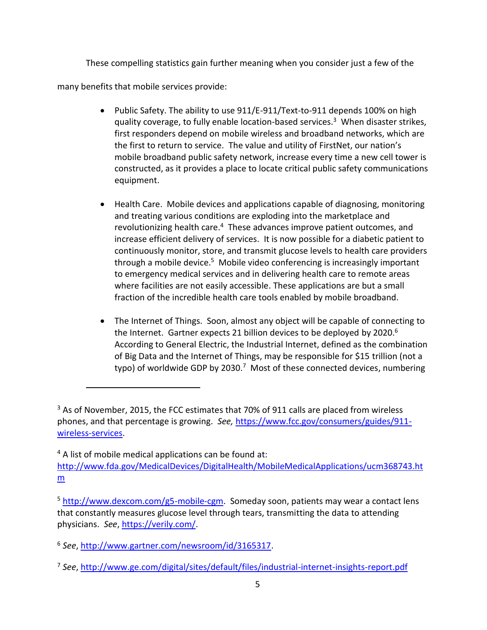These compelling statistics gain further meaning when you consider just a few of the many benefits that mobile services provide:

- Public Safety. The ability to use 911/E-911/Text-to-911 depends 100% on high quality coverage, to fully enable location-based services. 3 When disaster strikes, first responders depend on mobile wireless and broadband networks, which are the first to return to service. The value and utility of FirstNet, our nation's mobile broadband public safety network, increase every time a new cell tower is constructed, as it provides a place to locate critical public safety communications equipment.
- Health Care. Mobile devices and applications capable of diagnosing, monitoring and treating various conditions are exploding into the marketplace and revolutionizing health care.<sup>4</sup> These advances improve patient outcomes, and increase efficient delivery of services. It is now possible for a diabetic patient to continuously monitor, store, and transmit glucose levels to health care providers through a mobile device.<sup>5</sup> Mobile video conferencing is increasingly important to emergency medical services and in delivering health care to remote areas where facilities are not easily accessible. These applications are but a small fraction of the incredible health care tools enabled by mobile broadband.
- The Internet of Things. Soon, almost any object will be capable of connecting to the Internet. Gartner expects 21 billion devices to be deployed by 2020.<sup>6</sup> According to General Electric, the Industrial Internet, defined as the combination of Big Data and the Internet of Things, may be responsible for \$15 trillion (not a typo) of worldwide GDP by 2030.<sup>7</sup> Most of these connected devices, numbering

<sup>&</sup>lt;sup>3</sup> As of November, 2015, the FCC estimates that 70% of 911 calls are placed from wireless phones, and that percentage is growing. *See,* [https://www.fcc.gov/consumers/guides/911](https://www.fcc.gov/consumers/guides/911-wireless-services) [wireless-services.](https://www.fcc.gov/consumers/guides/911-wireless-services)

 $4$  A list of mobile medical applications can be found at: [http://www.fda.gov/MedicalDevices/DigitalHealth/MobileMedicalApplications/ucm368743.ht](http://www.fda.gov/MedicalDevices/DigitalHealth/MobileMedicalApplications/ucm368743.htm) [m](http://www.fda.gov/MedicalDevices/DigitalHealth/MobileMedicalApplications/ucm368743.htm)

<sup>5</sup> [http://www.dexcom.com/g5-mobile-cgm.](http://www.dexcom.com/g5-mobile-cgm) Someday soon, patients may wear a contact lens that constantly measures glucose level through tears, transmitting the data to attending physicians. *See*, [https://verily.com/.](https://verily.com/)

<sup>6</sup> *See*, [http://www.gartner.com/newsroom/id/3165317.](http://www.gartner.com/newsroom/id/3165317)

<sup>7</sup> *See*,<http://www.ge.com/digital/sites/default/files/industrial-internet-insights-report.pdf>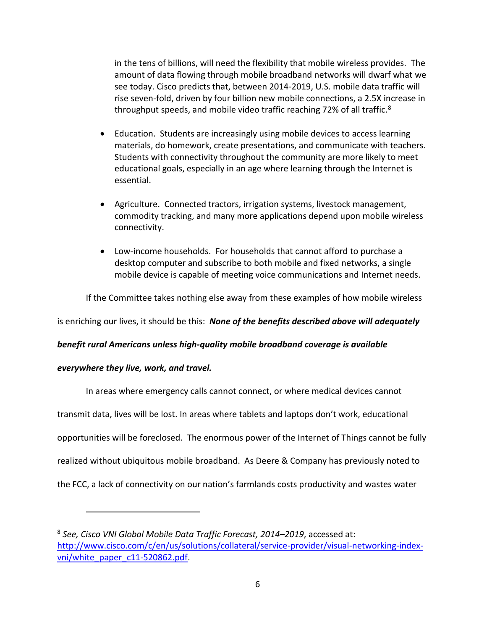in the tens of billions, will need the flexibility that mobile wireless provides. The amount of data flowing through mobile broadband networks will dwarf what we see today. Cisco predicts that, between 2014-2019, U.S. mobile data traffic will rise seven-fold, driven by four billion new mobile connections, a 2.5X increase in throughput speeds, and mobile video traffic reaching 72% of all traffic.<sup>8</sup>

- Education. Students are increasingly using mobile devices to access learning materials, do homework, create presentations, and communicate with teachers. Students with connectivity throughout the community are more likely to meet educational goals, especially in an age where learning through the Internet is essential.
- Agriculture. Connected tractors, irrigation systems, livestock management, commodity tracking, and many more applications depend upon mobile wireless connectivity.
- Low-income households. For households that cannot afford to purchase a desktop computer and subscribe to both mobile and fixed networks, a single mobile device is capable of meeting voice communications and Internet needs.

If the Committee takes nothing else away from these examples of how mobile wireless

is enriching our lives, it should be this: *None of the benefits described above will adequately*

### *benefit rural Americans unless high-quality mobile broadband coverage is available*

### *everywhere they live, work, and travel.*

 $\overline{a}$ 

In areas where emergency calls cannot connect, or where medical devices cannot

transmit data, lives will be lost. In areas where tablets and laptops don't work, educational

opportunities will be foreclosed. The enormous power of the Internet of Things cannot be fully

realized without ubiquitous mobile broadband. As Deere & Company has previously noted to

the FCC, a lack of connectivity on our nation's farmlands costs productivity and wastes water

<sup>8</sup> *See, Cisco VNI Global Mobile Data Traffic Forecast, 2014–2019*, accessed at: [http://www.cisco.com/c/en/us/solutions/collateral/service-provider/visual-networking-index](http://www.cisco.com/c/en/us/solutions/collateral/service-provider/visual-networking-index-vni/white_paper_c11-520862.pdf)[vni/white\\_paper\\_c11-520862.pdf.](http://www.cisco.com/c/en/us/solutions/collateral/service-provider/visual-networking-index-vni/white_paper_c11-520862.pdf)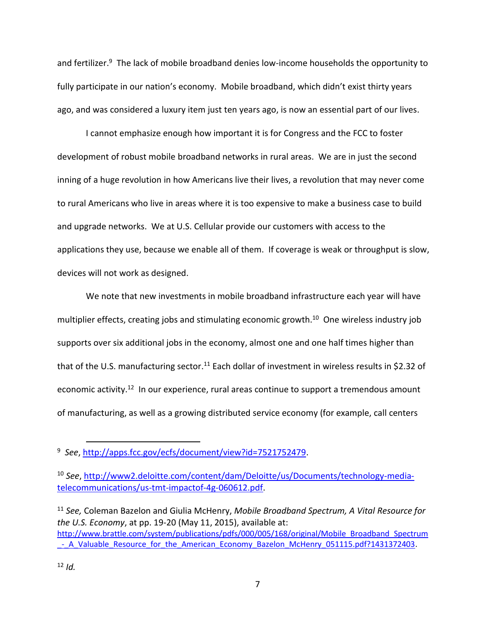and fertilizer.<sup>9</sup> The lack of mobile broadband denies low-income households the opportunity to fully participate in our nation's economy. Mobile broadband, which didn't exist thirty years ago, and was considered a luxury item just ten years ago, is now an essential part of our lives.

I cannot emphasize enough how important it is for Congress and the FCC to foster development of robust mobile broadband networks in rural areas. We are in just the second inning of a huge revolution in how Americans live their lives, a revolution that may never come to rural Americans who live in areas where it is too expensive to make a business case to build and upgrade networks. We at U.S. Cellular provide our customers with access to the applications they use, because we enable all of them. If coverage is weak or throughput is slow, devices will not work as designed.

We note that new investments in mobile broadband infrastructure each year will have multiplier effects, creating jobs and stimulating economic growth.<sup>10</sup> One wireless industry job supports over six additional jobs in the economy, almost one and one half times higher than that of the U.S. manufacturing sector.<sup>11</sup> Each dollar of investment in wireless results in \$2.32 of economic activity.<sup>12</sup> In our experience, rural areas continue to support a tremendous amount of manufacturing, as well as a growing distributed service economy (for example, call centers

<sup>11</sup> *See,* Coleman Bazelon and Giulia McHenry, *Mobile Broadband Spectrum, A Vital Resource for the U.S. Economy*, at pp. 19-20 (May 11, 2015), available at: [http://www.brattle.com/system/publications/pdfs/000/005/168/original/Mobile\\_Broadband\\_Spectrum](http://www.brattle.com/system/publications/pdfs/000/005/168/original/Mobile_Broadband_Spectrum_-_A_Valuable_Resource_for_the_American_Economy_Bazelon_McHenry_051115.pdf?1431372403) - A Valuable Resource for the American Economy Bazelon McHenry 051115.pdf?1431372403.

<sup>9</sup> *See*, [http://apps.fcc.gov/ecfs/document/view?id=7521752479.](http://apps.fcc.gov/ecfs/document/view?id=7521752479)

<sup>10</sup> *See*, [http://www2.deloitte.com/content/dam/Deloitte/us/Documents/technology-media](http://www2.deloitte.com/content/dam/Deloitte/us/Documents/technology-media-telecommunications/us-tmt-impactof-4g-060612.pdf)[telecommunications/us-tmt-impactof-4g-060612.pdf.](http://www2.deloitte.com/content/dam/Deloitte/us/Documents/technology-media-telecommunications/us-tmt-impactof-4g-060612.pdf)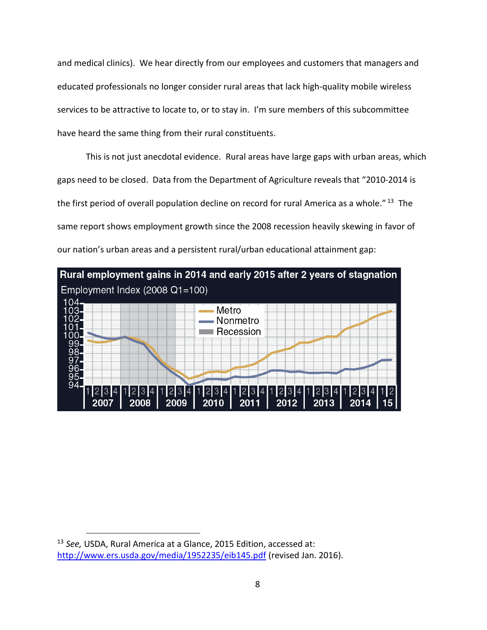and medical clinics). We hear directly from our employees and customers that managers and educated professionals no longer consider rural areas that lack high-quality mobile wireless services to be attractive to locate to, or to stay in. I'm sure members of this subcommittee have heard the same thing from their rural constituents.

This is not just anecdotal evidence. Rural areas have large gaps with urban areas, which gaps need to be closed. Data from the Department of Agriculture reveals that "2010-2014 is the first period of overall population decline on record for rural America as a whole."<sup>13</sup> The same report shows employment growth since the 2008 recession heavily skewing in favor of our nation's urban areas and a persistent rural/urban educational attainment gap:



<sup>13</sup> *See,* USDA, Rural America at a Glance, 2015 Edition, accessed at: <http://www.ers.usda.gov/media/1952235/eib145.pdf> (revised Jan. 2016).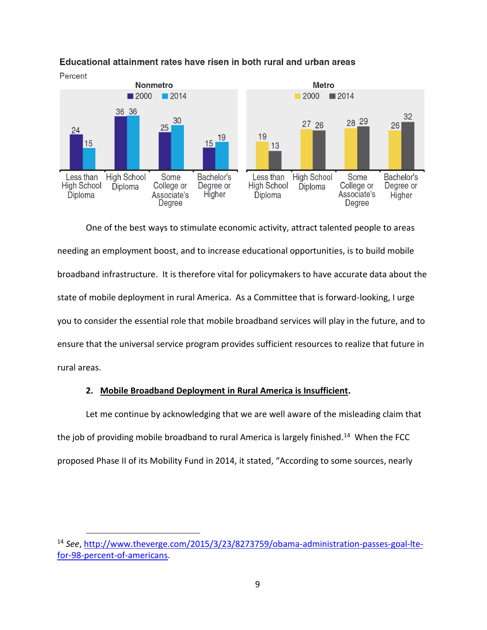

### Educational attainment rates have risen in both rural and urban areas

One of the best ways to stimulate economic activity, attract talented people to areas needing an employment boost, and to increase educational opportunities, is to build mobile broadband infrastructure. It is therefore vital for policymakers to have accurate data about the state of mobile deployment in rural America. As a Committee that is forward-looking, I urge you to consider the essential role that mobile broadband services will play in the future, and to ensure that the universal service program provides sufficient resources to realize that future in rural areas.

### **2. Mobile Broadband Deployment in Rural America is Insufficient.**

Let me continue by acknowledging that we are well aware of the misleading claim that the job of providing mobile broadband to rural America is largely finished.<sup>14</sup> When the FCC proposed Phase II of its Mobility Fund in 2014, it stated, "According to some sources, nearly

<sup>14</sup> *See*, [http://www.theverge.com/2015/3/23/8273759/obama-administration-passes-goal-lte](http://www.theverge.com/2015/3/23/8273759/obama-administration-passes-goal-lte-for-98-percent-of-americans)[for-98-percent-of-americans.](http://www.theverge.com/2015/3/23/8273759/obama-administration-passes-goal-lte-for-98-percent-of-americans)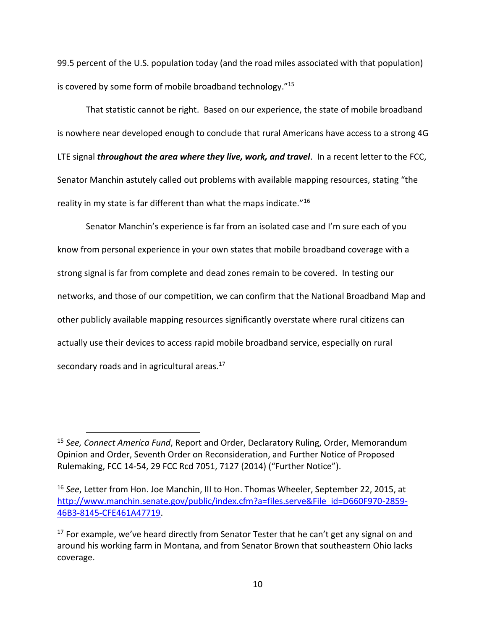99.5 percent of the U.S. population today (and the road miles associated with that population) is covered by some form of mobile broadband technology."<sup>15</sup>

That statistic cannot be right. Based on our experience, the state of mobile broadband is nowhere near developed enough to conclude that rural Americans have access to a strong 4G LTE signal *throughout the area where they live, work, and travel*. In a recent letter to the FCC, Senator Manchin astutely called out problems with available mapping resources, stating "the reality in my state is far different than what the maps indicate."<sup>16</sup>

Senator Manchin's experience is far from an isolated case and I'm sure each of you know from personal experience in your own states that mobile broadband coverage with a strong signal is far from complete and dead zones remain to be covered. In testing our networks, and those of our competition, we can confirm that the National Broadband Map and other publicly available mapping resources significantly overstate where rural citizens can actually use their devices to access rapid mobile broadband service, especially on rural secondary roads and in agricultural areas.<sup>17</sup>

<sup>15</sup> *See, Connect America Fund*, Report and Order, Declaratory Ruling, Order, Memorandum Opinion and Order, Seventh Order on Reconsideration, and Further Notice of Proposed Rulemaking, FCC 14-54, 29 FCC Rcd 7051, 7127 (2014) ("Further Notice").

<sup>16</sup> *See*, Letter from Hon. Joe Manchin, III to Hon. Thomas Wheeler, September 22, 2015, at [http://www.manchin.senate.gov/public/index.cfm?a=files.serve&File\\_id=D660F970-2859-](http://www.manchin.senate.gov/public/index.cfm?a=files.serve&File_id=D660F970-2859-46B3-8145-CFE461A47719) [46B3-8145-CFE461A47719.](http://www.manchin.senate.gov/public/index.cfm?a=files.serve&File_id=D660F970-2859-46B3-8145-CFE461A47719)

 $17$  For example, we've heard directly from Senator Tester that he can't get any signal on and around his working farm in Montana, and from Senator Brown that southeastern Ohio lacks coverage.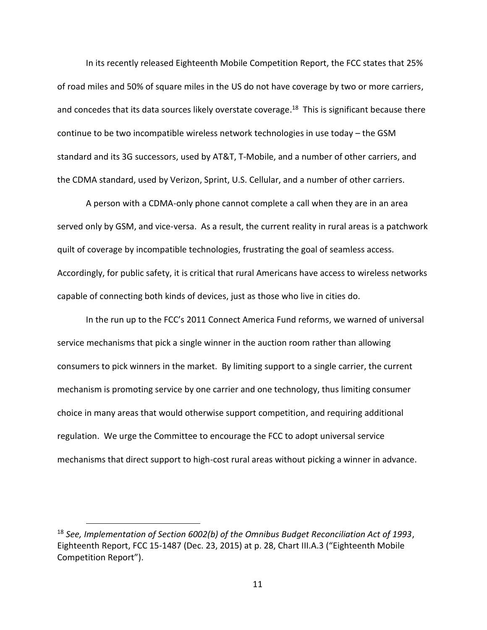In its recently released Eighteenth Mobile Competition Report, the FCC states that 25% of road miles and 50% of square miles in the US do not have coverage by two or more carriers, and concedes that its data sources likely overstate coverage.<sup>18</sup> This is significant because there continue to be two incompatible wireless network technologies in use today – the GSM standard and its 3G successors, used by AT&T, T-Mobile, and a number of other carriers, and the CDMA standard, used by Verizon, Sprint, U.S. Cellular, and a number of other carriers.

A person with a CDMA-only phone cannot complete a call when they are in an area served only by GSM, and vice-versa. As a result, the current reality in rural areas is a patchwork quilt of coverage by incompatible technologies, frustrating the goal of seamless access. Accordingly, for public safety, it is critical that rural Americans have access to wireless networks capable of connecting both kinds of devices, just as those who live in cities do.

In the run up to the FCC's 2011 Connect America Fund reforms, we warned of universal service mechanisms that pick a single winner in the auction room rather than allowing consumers to pick winners in the market. By limiting support to a single carrier, the current mechanism is promoting service by one carrier and one technology, thus limiting consumer choice in many areas that would otherwise support competition, and requiring additional regulation. We urge the Committee to encourage the FCC to adopt universal service mechanisms that direct support to high-cost rural areas without picking a winner in advance.

<sup>18</sup> *See, Implementation of Section 6002(b) of the Omnibus Budget Reconciliation Act of 1993*, Eighteenth Report, FCC 15-1487 (Dec. 23, 2015) at p. 28, Chart III.A.3 ("Eighteenth Mobile Competition Report").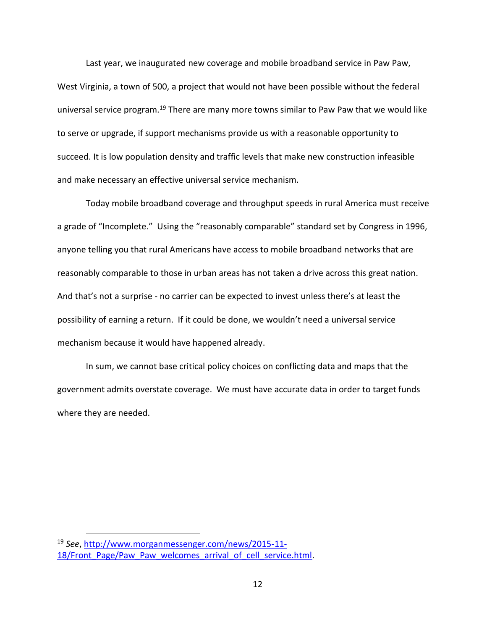Last year, we inaugurated new coverage and mobile broadband service in Paw Paw, West Virginia, a town of 500, a project that would not have been possible without the federal universal service program.<sup>19</sup> There are many more towns similar to Paw Paw that we would like to serve or upgrade, if support mechanisms provide us with a reasonable opportunity to succeed. It is low population density and traffic levels that make new construction infeasible and make necessary an effective universal service mechanism.

Today mobile broadband coverage and throughput speeds in rural America must receive a grade of "Incomplete." Using the "reasonably comparable" standard set by Congress in 1996, anyone telling you that rural Americans have access to mobile broadband networks that are reasonably comparable to those in urban areas has not taken a drive across this great nation. And that's not a surprise - no carrier can be expected to invest unless there's at least the possibility of earning a return. If it could be done, we wouldn't need a universal service mechanism because it would have happened already.

In sum, we cannot base critical policy choices on conflicting data and maps that the government admits overstate coverage. We must have accurate data in order to target funds where they are needed.

<sup>19</sup> *See*, [http://www.morganmessenger.com/news/2015-11-](http://www.morganmessenger.com/news/2015-11-18/Front_Page/Paw_Paw_welcomes_arrival_of_cell_service.html) 18/Front Page/Paw Paw welcomes arrival of cell service.html.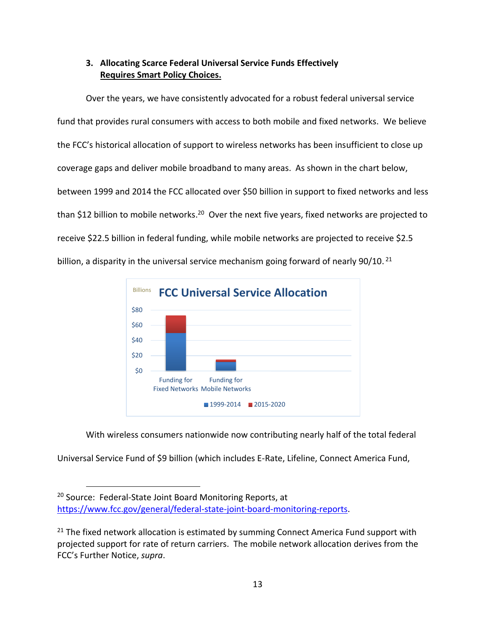# **3. Allocating Scarce Federal Universal Service Funds Effectively Requires Smart Policy Choices.**

Over the years, we have consistently advocated for a robust federal universal service fund that provides rural consumers with access to both mobile and fixed networks. We believe the FCC's historical allocation of support to wireless networks has been insufficient to close up coverage gaps and deliver mobile broadband to many areas. As shown in the chart below, between 1999 and 2014 the FCC allocated over \$50 billion in support to fixed networks and less than \$12 billion to mobile networks.<sup>20</sup> Over the next five years, fixed networks are projected to receive \$22.5 billion in federal funding, while mobile networks are projected to receive \$2.5 billion, a disparity in the universal service mechanism going forward of nearly 90/10.<sup>21</sup>



With wireless consumers nationwide now contributing nearly half of the total federal

Universal Service Fund of \$9 billion (which includes E-Rate, Lifeline, Connect America Fund,

<sup>&</sup>lt;sup>20</sup> Source: Federal-State Joint Board Monitoring Reports, at [https://www.fcc.gov/general/federal-state-joint-board-monitoring-reports.](https://www.fcc.gov/general/federal-state-joint-board-monitoring-reports)

 $21$  The fixed network allocation is estimated by summing Connect America Fund support with projected support for rate of return carriers. The mobile network allocation derives from the FCC's Further Notice, *supra*.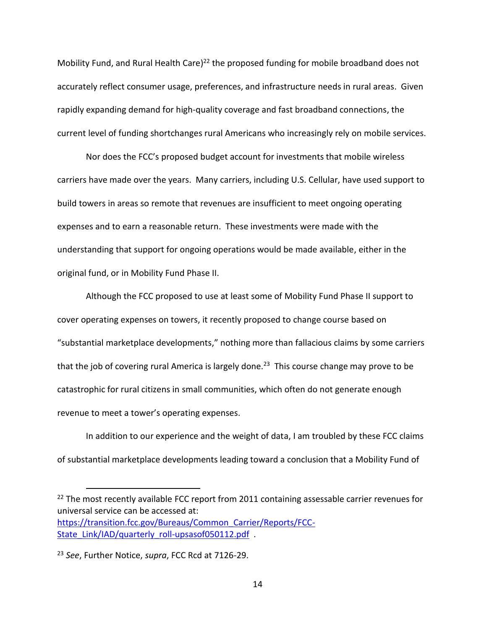Mobility Fund, and Rural Health Care)<sup>22</sup> the proposed funding for mobile broadband does not accurately reflect consumer usage, preferences, and infrastructure needs in rural areas. Given rapidly expanding demand for high-quality coverage and fast broadband connections, the current level of funding shortchanges rural Americans who increasingly rely on mobile services.

Nor does the FCC's proposed budget account for investments that mobile wireless carriers have made over the years. Many carriers, including U.S. Cellular, have used support to build towers in areas so remote that revenues are insufficient to meet ongoing operating expenses and to earn a reasonable return. These investments were made with the understanding that support for ongoing operations would be made available, either in the original fund, or in Mobility Fund Phase II.

Although the FCC proposed to use at least some of Mobility Fund Phase II support to cover operating expenses on towers, it recently proposed to change course based on "substantial marketplace developments," nothing more than fallacious claims by some carriers that the job of covering rural America is largely done.<sup>23</sup> This course change may prove to be catastrophic for rural citizens in small communities, which often do not generate enough revenue to meet a tower's operating expenses.

In addition to our experience and the weight of data, I am troubled by these FCC claims of substantial marketplace developments leading toward a conclusion that a Mobility Fund of

 $22$  The most recently available FCC report from 2011 containing assessable carrier revenues for universal service can be accessed at: [https://transition.fcc.gov/Bureaus/Common\\_Carrier/Reports/FCC-](https://transition.fcc.gov/Bureaus/Common_Carrier/Reports/FCC-State_Link/IAD/quarterly_roll-upsasof050112.pdf)[State\\_Link/IAD/quarterly\\_roll-upsasof050112.pdf](https://transition.fcc.gov/Bureaus/Common_Carrier/Reports/FCC-State_Link/IAD/quarterly_roll-upsasof050112.pdf) .

<sup>23</sup> *See*, Further Notice, *supra*, FCC Rcd at 7126-29.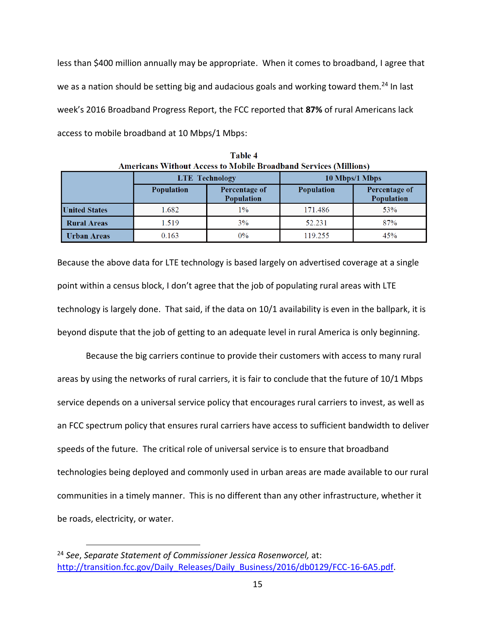less than \$400 million annually may be appropriate. When it comes to broadband, I agree that we as a nation should be setting big and audacious goals and working toward them.<sup>24</sup> In last week's 2016 Broadband Progress Report, the FCC reported that **87%** of rural Americans lack access to mobile broadband at 10 Mbps/1 Mbps:

| Ашенсанз этнибат Ассезз го гибоне вгодарана эсі тісез гічінібнэг |                   |                                    |                |                                    |  |  |  |
|------------------------------------------------------------------|-------------------|------------------------------------|----------------|------------------------------------|--|--|--|
|                                                                  |                   | <b>LTE</b> Technology              | 10 Mbps/1 Mbps |                                    |  |  |  |
|                                                                  | <b>Population</b> | Percentage of<br><b>Population</b> | Population     | Percentage of<br><b>Population</b> |  |  |  |
| <b>United States</b>                                             | 1.682             | $1\%$                              | 171.486        | 53%                                |  |  |  |
| <b>Rural Areas</b>                                               | 1.519             | 3%                                 | 52.231         | 87%                                |  |  |  |
| <b>Urban Areas</b>                                               | 0.163             | 0%                                 | 119.255        | 45%                                |  |  |  |

Table 4 Americans Without Access to Mobile Broadband Services (Millions)

Because the above data for LTE technology is based largely on advertised coverage at a single point within a census block, I don't agree that the job of populating rural areas with LTE technology is largely done. That said, if the data on 10/1 availability is even in the ballpark, it is beyond dispute that the job of getting to an adequate level in rural America is only beginning.

Because the big carriers continue to provide their customers with access to many rural areas by using the networks of rural carriers, it is fair to conclude that the future of 10/1 Mbps service depends on a universal service policy that encourages rural carriers to invest, as well as an FCC spectrum policy that ensures rural carriers have access to sufficient bandwidth to deliver speeds of the future. The critical role of universal service is to ensure that broadband technologies being deployed and commonly used in urban areas are made available to our rural communities in a timely manner. This is no different than any other infrastructure, whether it be roads, electricity, or water.

<sup>24</sup> *See*, *Separate Statement of Commissioner Jessica Rosenworcel,* at: [http://transition.fcc.gov/Daily\\_Releases/Daily\\_Business/2016/db0129/FCC-16-6A5.pdf.](http://transition.fcc.gov/Daily_Releases/Daily_Business/2016/db0129/FCC-16-6A5.pdf)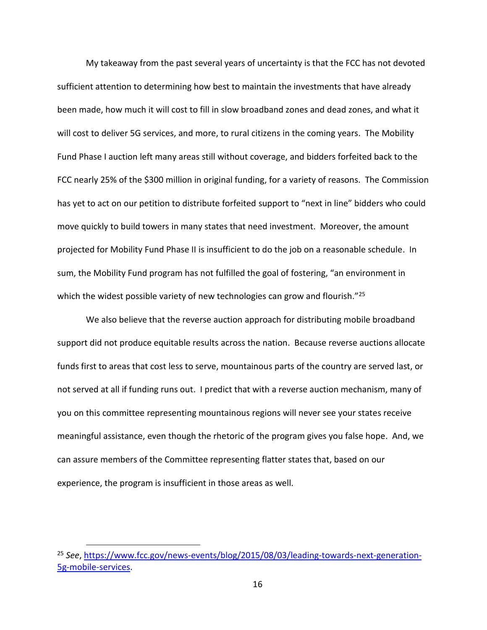My takeaway from the past several years of uncertainty is that the FCC has not devoted sufficient attention to determining how best to maintain the investments that have already been made, how much it will cost to fill in slow broadband zones and dead zones, and what it will cost to deliver 5G services, and more, to rural citizens in the coming years. The Mobility Fund Phase I auction left many areas still without coverage, and bidders forfeited back to the FCC nearly 25% of the \$300 million in original funding, for a variety of reasons. The Commission has yet to act on our petition to distribute forfeited support to "next in line" bidders who could move quickly to build towers in many states that need investment. Moreover, the amount projected for Mobility Fund Phase II is insufficient to do the job on a reasonable schedule. In sum, the Mobility Fund program has not fulfilled the goal of fostering, "an environment in which the widest possible variety of new technologies can grow and flourish."<sup>25</sup>

We also believe that the reverse auction approach for distributing mobile broadband support did not produce equitable results across the nation. Because reverse auctions allocate funds first to areas that cost less to serve, mountainous parts of the country are served last, or not served at all if funding runs out. I predict that with a reverse auction mechanism, many of you on this committee representing mountainous regions will never see your states receive meaningful assistance, even though the rhetoric of the program gives you false hope. And, we can assure members of the Committee representing flatter states that, based on our experience, the program is insufficient in those areas as well.

<sup>25</sup> *See*, [https://www.fcc.gov/news-events/blog/2015/08/03/leading-towards-next-generation-](https://www.fcc.gov/news-events/blog/2015/08/03/leading-towards-next-generation-5g-mobile-services)[5g-mobile-services.](https://www.fcc.gov/news-events/blog/2015/08/03/leading-towards-next-generation-5g-mobile-services)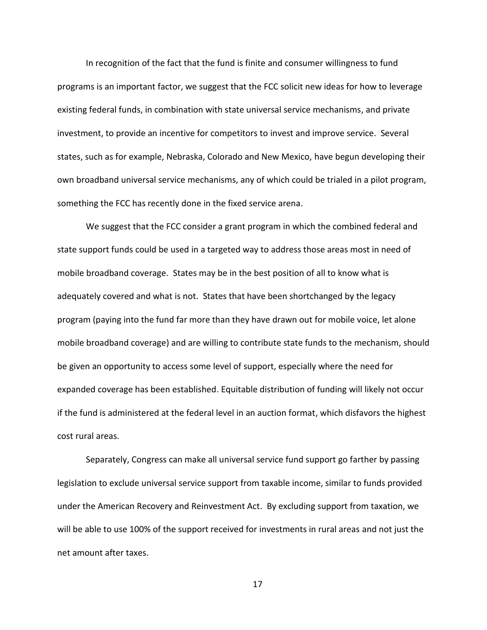In recognition of the fact that the fund is finite and consumer willingness to fund programs is an important factor, we suggest that the FCC solicit new ideas for how to leverage existing federal funds, in combination with state universal service mechanisms, and private investment, to provide an incentive for competitors to invest and improve service. Several states, such as for example, Nebraska, Colorado and New Mexico, have begun developing their own broadband universal service mechanisms, any of which could be trialed in a pilot program, something the FCC has recently done in the fixed service arena.

We suggest that the FCC consider a grant program in which the combined federal and state support funds could be used in a targeted way to address those areas most in need of mobile broadband coverage. States may be in the best position of all to know what is adequately covered and what is not. States that have been shortchanged by the legacy program (paying into the fund far more than they have drawn out for mobile voice, let alone mobile broadband coverage) and are willing to contribute state funds to the mechanism, should be given an opportunity to access some level of support, especially where the need for expanded coverage has been established. Equitable distribution of funding will likely not occur if the fund is administered at the federal level in an auction format, which disfavors the highest cost rural areas.

Separately, Congress can make all universal service fund support go farther by passing legislation to exclude universal service support from taxable income, similar to funds provided under the American Recovery and Reinvestment Act. By excluding support from taxation, we will be able to use 100% of the support received for investments in rural areas and not just the net amount after taxes.

17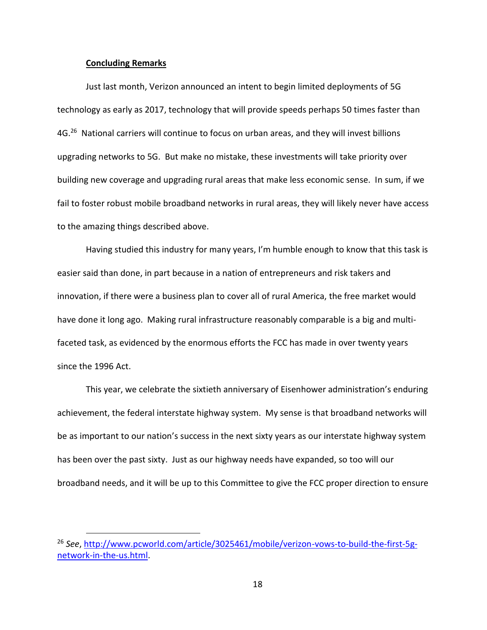#### **Concluding Remarks**

 $\overline{a}$ 

Just last month, Verizon announced an intent to begin limited deployments of 5G technology as early as 2017, technology that will provide speeds perhaps 50 times faster than 4G.<sup>26</sup> National carriers will continue to focus on urban areas, and they will invest billions upgrading networks to 5G. But make no mistake, these investments will take priority over building new coverage and upgrading rural areas that make less economic sense. In sum, if we fail to foster robust mobile broadband networks in rural areas, they will likely never have access to the amazing things described above.

Having studied this industry for many years, I'm humble enough to know that this task is easier said than done, in part because in a nation of entrepreneurs and risk takers and innovation, if there were a business plan to cover all of rural America, the free market would have done it long ago. Making rural infrastructure reasonably comparable is a big and multifaceted task, as evidenced by the enormous efforts the FCC has made in over twenty years since the 1996 Act.

This year, we celebrate the sixtieth anniversary of Eisenhower administration's enduring achievement, the federal interstate highway system. My sense is that broadband networks will be as important to our nation's success in the next sixty years as our interstate highway system has been over the past sixty. Just as our highway needs have expanded, so too will our broadband needs, and it will be up to this Committee to give the FCC proper direction to ensure

<sup>26</sup> *See*, [http://www.pcworld.com/article/3025461/mobile/verizon-vows-to-build-the-first-5g](http://www.pcworld.com/article/3025461/mobile/verizon-vows-to-build-the-first-5g-network-in-the-us.html)[network-in-the-us.html.](http://www.pcworld.com/article/3025461/mobile/verizon-vows-to-build-the-first-5g-network-in-the-us.html)